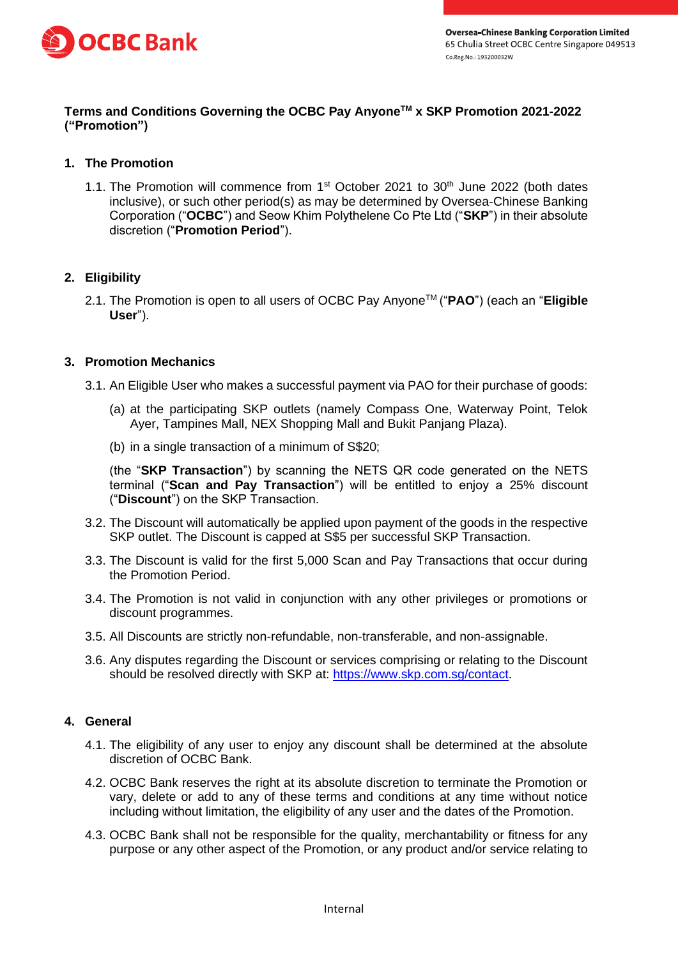

## **Terms and Conditions Governing the OCBC Pay AnyoneTM x SKP Promotion 2021-2022 ("Promotion")**

# **1. The Promotion**

1.1. The Promotion will commence from  $1<sup>st</sup>$  October 2021 to  $30<sup>th</sup>$  June 2022 (both dates inclusive), or such other period(s) as may be determined by Oversea-Chinese Banking Corporation ("**OCBC**") and Seow Khim Polythelene Co Pte Ltd ("**SKP**") in their absolute discretion ("**Promotion Period**").

## **2. Eligibility**

2.1. The Promotion is open to all users of OCBC Pay AnyoneTM ("**PAO**") (each an "**Eligible User**").

### **3. Promotion Mechanics**

- 3.1. An Eligible User who makes a successful payment via PAO for their purchase of goods:
	- (a) at the participating SKP outlets (namely Compass One, Waterway Point, Telok Ayer, Tampines Mall, NEX Shopping Mall and Bukit Panjang Plaza).
	- (b) in a single transaction of a minimum of S\$20;

(the "**SKP Transaction**") by scanning the NETS QR code generated on the NETS terminal ("**Scan and Pay Transaction**") will be entitled to enjoy a 25% discount ("**Discount**") on the SKP Transaction.

- 3.2. The Discount will automatically be applied upon payment of the goods in the respective SKP outlet. The Discount is capped at S\$5 per successful SKP Transaction.
- 3.3. The Discount is valid for the first 5,000 Scan and Pay Transactions that occur during the Promotion Period.
- 3.4. The Promotion is not valid in conjunction with any other privileges or promotions or discount programmes.
- 3.5. All Discounts are strictly non-refundable, non-transferable, and non-assignable.
- 3.6. Any disputes regarding the Discount or services comprising or relating to the Discount should be resolved directly with SKP at: [https://www.skp.com.sg/contact.](https://www.skp.com.sg/contact)

### **4. General**

- 4.1. The eligibility of any user to enjoy any discount shall be determined at the absolute discretion of OCBC Bank.
- 4.2. OCBC Bank reserves the right at its absolute discretion to terminate the Promotion or vary, delete or add to any of these terms and conditions at any time without notice including without limitation, the eligibility of any user and the dates of the Promotion.
- 4.3. OCBC Bank shall not be responsible for the quality, merchantability or fitness for any purpose or any other aspect of the Promotion, or any product and/or service relating to